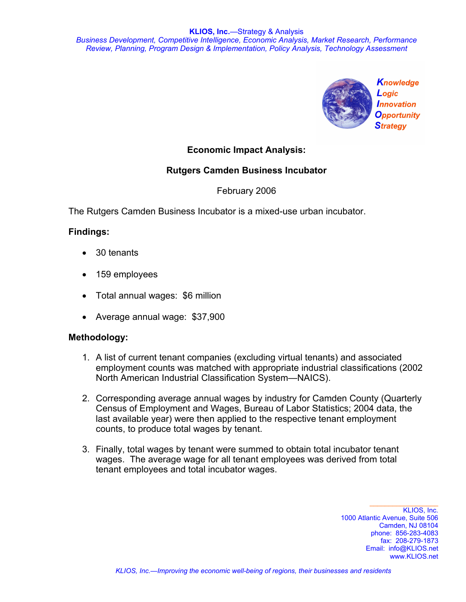

# **Economic Impact Analysis:**

# **Rutgers Camden Business Incubator**

February 2006

The Rutgers Camden Business Incubator is a mixed-use urban incubator.

## **Findings:**

- 30 tenants
- 159 employees
- Total annual wages: \$6 million
- Average annual wage: \$37,900

#### **Methodology:**

- 1. A list of current tenant companies (excluding virtual tenants) and associated employment counts was matched with appropriate industrial classifications (2002 North American Industrial Classification System—NAICS).
- 2. Corresponding average annual wages by industry for Camden County (Quarterly Census of Employment and Wages, Bureau of Labor Statistics; 2004 data, the last available year) were then applied to the respective tenant employment counts, to produce total wages by tenant.
- 3. Finally, total wages by tenant were summed to obtain total incubator tenant wages. The average wage for all tenant employees was derived from total tenant employees and total incubator wages.

KLIOS, Inc. 1000 Atlantic Avenue, Suite 506 Camden, NJ 08104 phone: 856-283-4083 fax: 208-279-1873 Email: info@KLIOS.net www.KLIOS.net

 $\_$